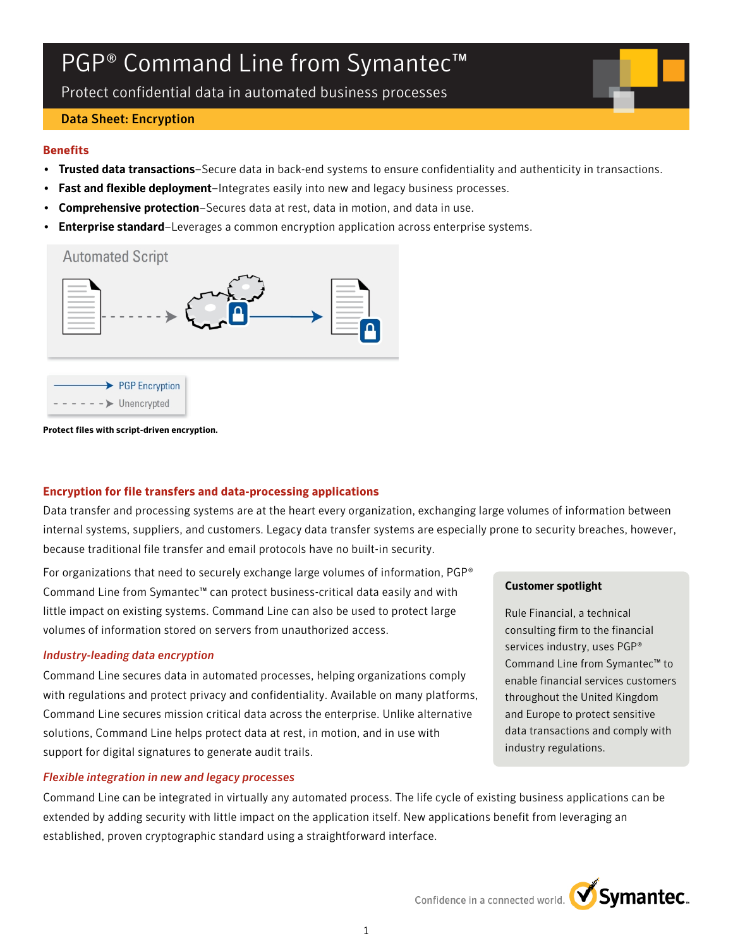# PGP<sup>®</sup> Command Line from Symantec<sup>™</sup>

Protect confidential data in automated business processes

## Data Sheet: Encryption

## **Benefits**

- Trusted data transactions–Secure data in back-end systems to ensure confidentiality and authenticity in transactions.
- Fast and flexible deployment–Integrates easily into new and legacy business processes.
- Comprehensive protection-Secures data at rest, data in motion, and data in use.
- **Enterprise standard**–Leverages a common encryption application across enterprise systems.





**Protect files with script-driven encryption.**

# **Encryption for file transfers and data-processing applications**

Data transfer and processing systems are at the heart every organization, exchanging large volumes of information between internal systems, suppliers, and customers. Legacy data transfer systems are especially prone to security breaches, however, because traditional file transfer and email protocols have no built-in security.

For organizations that need to securely exchange large volumes of information, PGP® Command Line from Symantec™ can protect business-critical data easily and with little impact on existing systems. Command Line can also be used to protect large volumes of information stored on servers from unauthorized access.

# *Industry-leading data encryption*

Command Line secures data in automated processes, helping organizations comply with regulations and protect privacy and confidentiality. Available on many platforms, Command Line secures mission critical data across the enterprise. Unlike alternative solutions, Command Line helps protect data at rest, in motion, and in use with support for digital signatures to generate audit trails.

# *Flexible integration in new and legacy processes*

Command Line can be integrated in virtually any automated process. The life cycle of existing business applications can be extended by adding security with little impact on the application itself. New applications benefit from leveraging an established, proven cryptographic standard using a straightforward interface.

## Customer spotlight

Rule Financial, a technical consulting firm to the financial services industry, uses PGP® Command Line from Symantec™ to enable financial services customers throughout the United Kingdom and Europe to protect sensitive data transactions and comply with industry regulations.



Confidence in a connected world.  $\bigvee$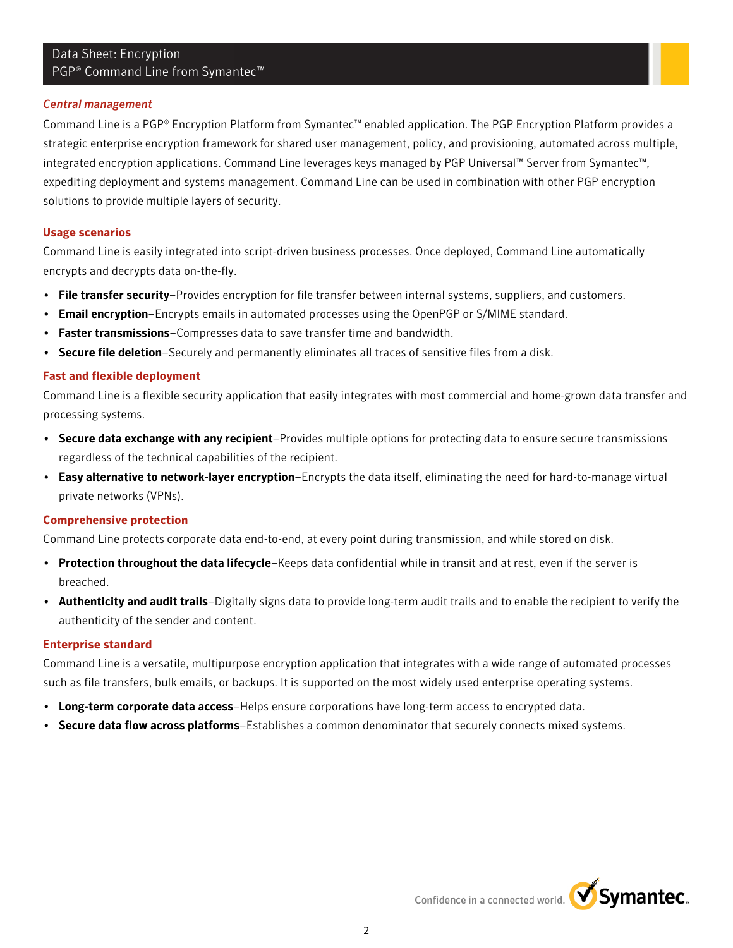# Data Sheet: Encryption PGP® Command Line from Symantec™

#### *Central management*

Command Line is a PGP® Encryption Platform from Symantec™ enabled application. The PGP Encryption Platform provides a strategic enterprise encryption framework for shared user management, policy, and provisioning, automated across multiple, integrated encryption applications. Command Line leverages keys managed by PGP Universal™ Server from Symantec™, expediting deployment and systems management. Command Line can be used in combination with other PGP encryption solutions to provide multiple layers of security.

#### **Usage scenarios**

Command Line is easily integrated into script-driven business processes. Once deployed, Command Line automatically encrypts and decrypts data on-the-fly.

- File transfer security–Provides encryption for file transfer between internal systems, suppliers, and customers.
- Email encryption–Encrypts emails in automated processes using the OpenPGP or S/MIME standard.
- Faster transmissions-Compresses data to save transfer time and bandwidth.
- Secure file deletion-Securely and permanently eliminates all traces of sensitive files from a disk.

## **Fast and flexible deployment**

Command Line is a flexible security application that easily integrates with most commercial and home-grown data transfer and processing systems.

- Secure data exchange with any recipient–Provides multiple options for protecting data to ensure secure transmissions regardless of the technical capabilities of the recipient.
- Easy alternative to network-layer encryption–Encrypts the data itself, eliminating the need for hard-to-manage virtual private networks (VPNs).

#### **Comprehensive protection**

Command Line protects corporate data end-to-end, at every point during transmission, and while stored on disk.

- Protection throughout the data lifecycle–Keeps data confidential while in transit and at rest, even if the server is breached.
- Authenticity and audit trails–Digitally signs data to provide long-term audit trails and to enable the recipient to verify the authenticity of the sender and content.

#### **Enterprise standard**

Command Line is a versatile, multipurpose encryption application that integrates with a wide range of automated processes such as file transfers, bulk emails, or backups. It is supported on the most widely used enterprise operating systems.

- Long-term corporate data access–Helps ensure corporations have long-term access to encrypted data.
- Secure data flow across platforms–Establishes a common denominator that securely connects mixed systems.